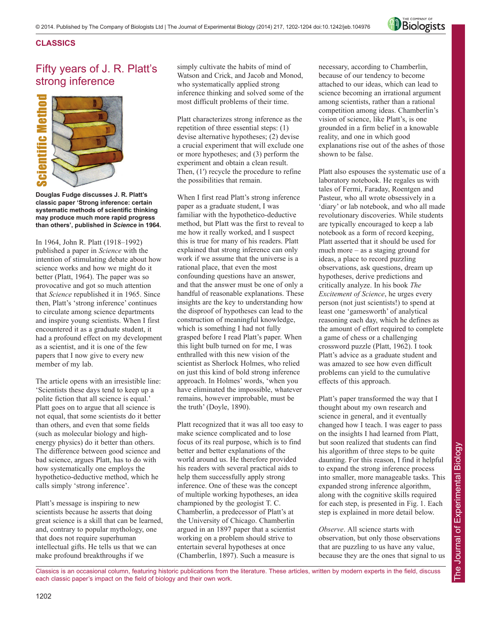

## **CLASSICS**

# Fifty years of J. R. Platt's strong inference



**Douglas Fudge discusses J. R. Platt's classic paper 'Strong inference: certain systematic methods of scientific thinking may produce much more rapid progress than others', published in** *Science* **in 1964***.*

In 1964, John R. Platt (1918–1992) published a paper in *Science* with the intention of stimulating debate about how science works and how we might do it better (Platt, 1964). The paper was so provocative and got so much attention that *Science* republished it in 1965. Since then, Platt's 'strong inference' continues to circulate among science departments and inspire young scientists. When I first encountered it as a graduate student, it had a profound effect on my development as a scientist, and it is one of the few papers that I now give to every new member of my lab.

The article opens with an irresistible line: 'Scientists these days tend to keep up a polite fiction that all science is equal.' Platt goes on to argue that all science is not equal, that some scientists do it better than others, and even that some fields (such as molecular biology and highenergy physics) do it better than others. The difference between good science and bad science, argues Platt, has to do with how systematically one employs the hypothetico-deductive method, which he calls simply 'strong inference'.

Platt's message is inspiring to new scientists because he asserts that doing great science is a skill that can be learned, and, contrary to popular mythology, one that does not require superhuman intellectual gifts. He tells us that we can make profound breakthroughs if we

simply cultivate the habits of mind of Watson and Crick, and Jacob and Monod, who systematically applied strong inference thinking and solved some of the most difficult problems of their time.

Platt characterizes strong inference as the repetition of three essential steps: (1) devise alternative hypotheses; (2) devise a crucial experiment that will exclude one or more hypotheses; and (3) perform the experiment and obtain a clean result. Then, (1′) recycle the procedure to refine the possibilities that remain.

When I first read Platt's strong inference paper as a graduate student, I was familiar with the hypothetico-deductive method, but Platt was the first to reveal to me how it really worked, and I suspect this is true for many of his readers. Platt explained that strong inference can only work if we assume that the universe is a rational place, that even the most confounding questions have an answer, and that the answer must be one of only a handful of reasonable explanations. These insights are the key to understanding how the disproof of hypotheses can lead to the construction of meaningful knowledge, which is something I had not fully grasped before I read Platt's paper. When this light bulb turned on for me, I was enthralled with this new vision of the scientist as Sherlock Holmes, who relied on just this kind of bold strong inference approach. In Holmes' words, 'when you have eliminated the impossible, whatever remains, however improbable, must be the truth' (Doyle, 1890).

Platt recognized that it was all too easy to make science complicated and to lose focus of its real purpose, which is to find better and better explanations of the world around us. He therefore provided his readers with several practical aids to help them successfully apply strong inference. One of these was the concept of multiple working hypotheses, an idea championed by the geologist T. C. Chamberlin, a predecessor of Platt's at the University of Chicago. Chamberlin argued in an 1897 paper that a scientist working on a problem should strive to entertain several hypotheses at once (Chamberlin, 1897). Such a measure is

necessary, according to Chamberlin, because of our tendency to become attached to our ideas, which can lead to science becoming an irrational argument among scientists, rather than a rational competition among ideas. Chamberlin's vision of science, like Platt's, is one grounded in a firm belief in a knowable reality, and one in which good explanations rise out of the ashes of those shown to be false.

Platt also espouses the systematic use of a laboratory notebook. He regales us with tales of Fermi, Faraday, Roentgen and Pasteur, who all wrote obsessively in a 'diary' or lab notebook, and who all made revolutionary discoveries. While students are typically encouraged to keep a lab notebook as a form of record keeping, Platt asserted that it should be used for much more – as a staging ground for ideas, a place to record puzzling observations, ask questions, dream up hypotheses, derive predictions and critically analyze. In his book *The Excitement of Science*, he urges every person (not just scientists!) to spend at least one 'gamesworth' of analytical reasoning each day, which he defines as the amount of effort required to complete a game of chess or a challenging crossword puzzle (Platt, 1962). I took Platt's advice as a graduate student and was amazed to see how even difficult problems can yield to the cumulative effects of this approach.

Platt's paper transformed the way that I thought about my own research and science in general, and it eventually changed how I teach. I was eager to pass on the insights I had learned from Platt, but soon realized that students can find his algorithm of three steps to be quite daunting. For this reason, I find it helpful to expand the strong inference process into smaller, more manageable tasks. This expanded strong inference algorithm, along with the cognitive skills required for each step, is presented in Fig. 1. Each step is explained in more detail below.

*Observe*. All science starts with observation, but only those observations that are puzzling to us have any value, because they are the ones that signal to us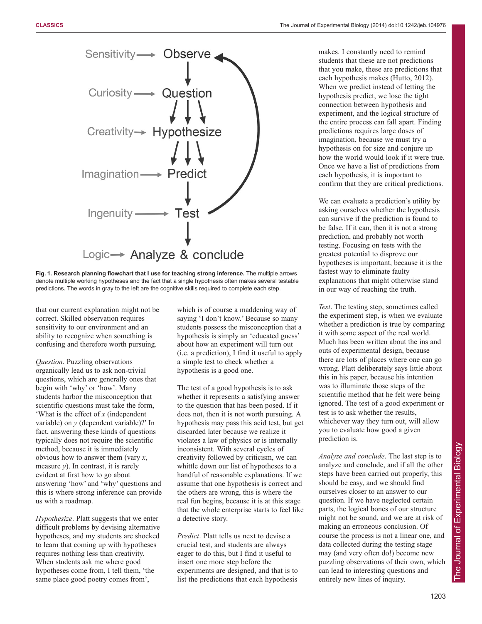

**Fig. 1. Research planning flowchart that I use for teaching strong inference.** The multiple arrows denote multiple working hypotheses and the fact that a single hypothesis often makes several testable predictions. The words in gray to the left are the cognitive skills required to complete each step.

that our current explanation might not be correct. Skilled observation requires sensitivity to our environment and an ability to recognize when something is confusing and therefore worth pursuing.

*Question*. Puzzling observations organically lead us to ask non-trivial questions, which are generally ones that begin with 'why' or 'how'. Many students harbor the misconception that scientific questions must take the form, 'What is the effect of *x* (independent variable) on *y* (dependent variable)?' In fact, answering these kinds of questions typically does not require the scientific method, because it is immediately obvious how to answer them (vary *x*, measure *y*). In contrast, it is rarely evident at first how to go about answering 'how' and 'why' questions and this is where strong inference can provide us with a roadmap.

*Hypothesize*. Platt suggests that we enter difficult problems by devising alternative hypotheses, and my students are shocked to learn that coming up with hypotheses requires nothing less than creativity. When students ask me where good hypotheses come from, I tell them, 'the same place good poetry comes from',

which is of course a maddening way of saying 'I don't know.' Because so many students possess the misconception that a hypothesis is simply an 'educated guess' about how an experiment will turn out (i.e. a prediction), I find it useful to apply a simple test to check whether a hypothesis is a good one.

The test of a good hypothesis is to ask whether it represents a satisfying answer to the question that has been posed. If it does not, then it is not worth pursuing. A hypothesis may pass this acid test, but get discarded later because we realize it violates a law of physics or is internally inconsistent. With several cycles of creativity followed by criticism, we can whittle down our list of hypotheses to a handful of reasonable explanations. If we assume that one hypothesis is correct and the others are wrong, this is where the real fun begins, because it is at this stage that the whole enterprise starts to feel like a detective story.

*Predict*. Platt tells us next to devise a crucial test, and students are always eager to do this, but I find it useful to insert one more step before the experiments are designed, and that is to list the predictions that each hypothesis

makes. I constantly need to remind students that these are not predictions that you make, these are predictions that each hypothesis makes (Hutto, 2012). When we predict instead of letting the hypothesis predict, we lose the tight connection between hypothesis and experiment, and the logical structure of the entire process can fall apart. Finding predictions requires large doses of imagination, because we must try a hypothesis on for size and conjure up how the world would look if it were true. Once we have a list of predictions from each hypothesis, it is important to confirm that they are critical predictions.

We can evaluate a prediction's utility by asking ourselves whether the hypothesis can survive if the prediction is found to be false. If it can, then it is not a strong prediction, and probably not worth testing. Focusing on tests with the greatest potential to disprove our hypotheses is important, because it is the fastest way to eliminate faulty explanations that might otherwise stand in our way of reaching the truth.

*Test*. The testing step, sometimes called the experiment step, is when we evaluate whether a prediction is true by comparing it with some aspect of the real world. Much has been written about the ins and outs of experimental design, because there are lots of places where one can go wrong. Platt deliberately says little about this in his paper, because his intention was to illuminate those steps of the scientific method that he felt were being ignored. The test of a good experiment or test is to ask whether the results, whichever way they turn out, will allow you to evaluate how good a given prediction is.

*Analyze and conclude*. The last step is to analyze and conclude, and if all the other steps have been carried out properly, this should be easy, and we should find ourselves closer to an answer to our question. If we have neglected certain parts, the logical bones of our structure might not be sound, and we are at risk of making an erroneous conclusion. Of course the process is not a linear one, and data collected during the testing stage may (and very often do!) become new puzzling observations of their own, which can lead to interesting questions and entirely new lines of inquiry.